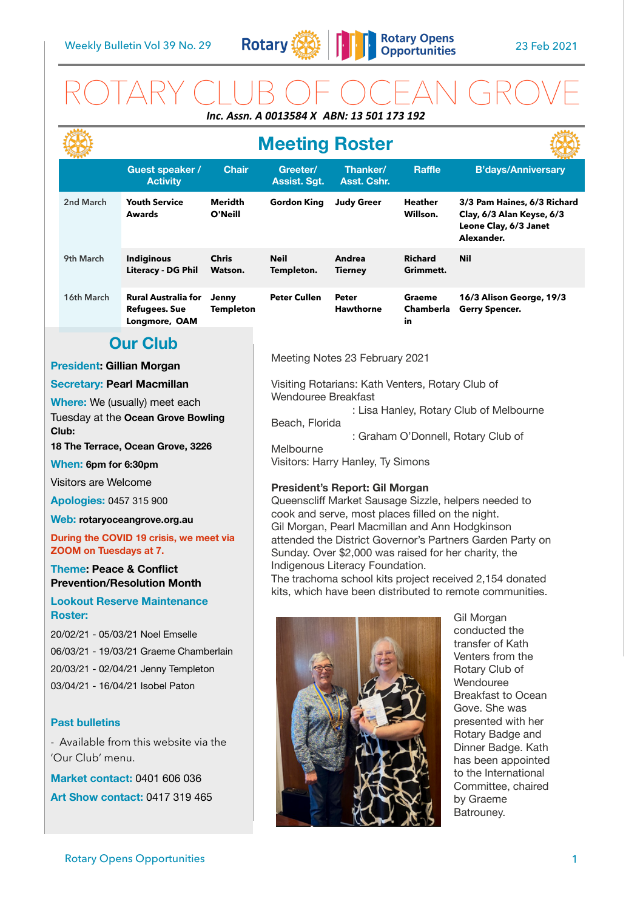

# ROTARY CLUB OF OCEAN GROVE *Inc. Assn. A 0013584 X ABN: 13 501 173 192*

|                                                                                     |                                       |                                                                     |                                                                                                                                                                                                                         | <b>Meeting Roster</b>                                                                                                                                                                          |                           |                                            |                                                                                                 |  |
|-------------------------------------------------------------------------------------|---------------------------------------|---------------------------------------------------------------------|-------------------------------------------------------------------------------------------------------------------------------------------------------------------------------------------------------------------------|------------------------------------------------------------------------------------------------------------------------------------------------------------------------------------------------|---------------------------|--------------------------------------------|-------------------------------------------------------------------------------------------------|--|
|                                                                                     |                                       | Guest speaker /<br><b>Activity</b>                                  | <b>Chair</b>                                                                                                                                                                                                            | Greeter/<br><b>Assist. Sgt.</b>                                                                                                                                                                | Thanker/<br>Asst. Cshr.   | <b>Raffle</b>                              | <b>B'days/Anniversary</b>                                                                       |  |
|                                                                                     | 2nd March                             | <b>Youth Service</b><br><b>Awards</b>                               | Meridth<br>O'Neill                                                                                                                                                                                                      | <b>Gordon King</b>                                                                                                                                                                             | <b>Judy Greer</b>         | Heather<br>Willson.                        | 3/3 Pam Haines, 6/3 Richard<br>Clay, 6/3 Alan Keyse, 6/3<br>Leone Clay, 6/3 Janet<br>Alexander. |  |
|                                                                                     | 9th March                             | <b>Indiginous</b><br>Literacy - DG Phil                             | <b>Chris</b><br>Watson.                                                                                                                                                                                                 | <b>Neil</b><br>Templeton.                                                                                                                                                                      | Andrea<br><b>Tierney</b>  | <b>Richard</b><br>Grimmett.                | <b>Nil</b>                                                                                      |  |
|                                                                                     | 16th March                            | <b>Rural Australia for</b><br><b>Refugees. Sue</b><br>Longmore, OAM | Jenny<br><b>Templeton</b>                                                                                                                                                                                               | <b>Peter Cullen</b>                                                                                                                                                                            | Peter<br><b>Hawthorne</b> | Graeme<br>Chamberla<br>in                  | 16/3 Alison George, 19/3<br><b>Gerry Spencer.</b>                                               |  |
| <b>Our Club</b>                                                                     |                                       |                                                                     |                                                                                                                                                                                                                         |                                                                                                                                                                                                |                           |                                            |                                                                                                 |  |
| <b>President: Gillian Morgan</b>                                                    |                                       |                                                                     |                                                                                                                                                                                                                         | Meeting Notes 23 February 2021                                                                                                                                                                 |                           |                                            |                                                                                                 |  |
| <b>Secretary: Pearl Macmillan</b>                                                   |                                       |                                                                     |                                                                                                                                                                                                                         | Visiting Rotarians: Kath Venters, Rotary Club of<br><b>Wendouree Breakfast</b><br>: Lisa Hanley, Rotary Club of Melbourne<br>Beach, Florida<br>: Graham O'Donnell, Rotary Club of<br>Melbourne |                           |                                            |                                                                                                 |  |
| <b>Where:</b> We (usually) meet each<br>Tuesday at the Ocean Grove Bowling<br>Club: |                                       |                                                                     |                                                                                                                                                                                                                         |                                                                                                                                                                                                |                           |                                            |                                                                                                 |  |
| 18 The Terrace, Ocean Grove, 3226                                                   |                                       |                                                                     |                                                                                                                                                                                                                         |                                                                                                                                                                                                |                           |                                            |                                                                                                 |  |
| When: 6pm for 6:30pm                                                                |                                       |                                                                     |                                                                                                                                                                                                                         | Visitors: Harry Hanley, Ty Simons                                                                                                                                                              |                           |                                            |                                                                                                 |  |
| Visitors are Welcome                                                                |                                       |                                                                     |                                                                                                                                                                                                                         | President's Report: Gil Morgan<br>Queenscliff Market Sausage Sizzle, helpers needed to                                                                                                         |                           |                                            |                                                                                                 |  |
| <b>Apologies: 0457 315 900</b>                                                      |                                       |                                                                     |                                                                                                                                                                                                                         |                                                                                                                                                                                                |                           |                                            |                                                                                                 |  |
| Web: rotaryoceangrove.org.au                                                        |                                       |                                                                     | cook and serve, most places filled on the night.<br>Gil Morgan, Pearl Macmillan and Ann Hodgkinson<br>attended the District Governor's Partners Garden Party on<br>Sunday. Over \$2,000 was raised for her charity, the |                                                                                                                                                                                                |                           |                                            |                                                                                                 |  |
| During the COVID 19 crisis, we meet via<br>ZOOM on Tuesdays at 7.                   |                                       |                                                                     |                                                                                                                                                                                                                         |                                                                                                                                                                                                |                           |                                            |                                                                                                 |  |
| <b>Theme: Peace &amp; Conflict</b><br><b>Prevention/Resolution Month</b>            |                                       |                                                                     |                                                                                                                                                                                                                         | Indigenous Literacy Foundation.<br>The trachoma school kits project received 2,154 donated<br>kits, which have been distributed to remote communities.                                         |                           |                                            |                                                                                                 |  |
| <b>Lookout Reserve Maintenance</b><br><b>Roster:</b>                                |                                       |                                                                     |                                                                                                                                                                                                                         |                                                                                                                                                                                                |                           |                                            | Gil Morgan                                                                                      |  |
|                                                                                     | 20/02/21 - 05/03/21 Noel Emselle      |                                                                     |                                                                                                                                                                                                                         |                                                                                                                                                                                                |                           | conducted the<br>transfer of Kath          |                                                                                                 |  |
| 06/03/21 - 19/03/21 Graeme Chamberlain                                              |                                       |                                                                     |                                                                                                                                                                                                                         | Venters from the                                                                                                                                                                               |                           |                                            |                                                                                                 |  |
| 20/03/21 - 02/04/21 Jenny Templeton<br>03/04/21 - 16/04/21 Isobel Paton             |                                       |                                                                     |                                                                                                                                                                                                                         |                                                                                                                                                                                                |                           |                                            | Rotary Club of<br>Wendouree                                                                     |  |
|                                                                                     |                                       |                                                                     |                                                                                                                                                                                                                         |                                                                                                                                                                                                |                           |                                            | <b>Breakfast to Ocean</b><br>Gove. She was                                                      |  |
| <b>Past bulletins</b>                                                               |                                       |                                                                     |                                                                                                                                                                                                                         |                                                                                                                                                                                                |                           |                                            | presented with her                                                                              |  |
| - Available from this website via the                                               |                                       |                                                                     | Rotary Badge and<br>Dinner Badge. Kath                                                                                                                                                                                  |                                                                                                                                                                                                |                           |                                            |                                                                                                 |  |
|                                                                                     | 'Our Club' menu.                      |                                                                     |                                                                                                                                                                                                                         | has been appointed                                                                                                                                                                             |                           |                                            |                                                                                                 |  |
| <b>Market contact: 0401 606 036</b>                                                 |                                       |                                                                     |                                                                                                                                                                                                                         |                                                                                                                                                                                                |                           | to the International<br>Committee, chaired |                                                                                                 |  |
|                                                                                     | <b>Art Show contact: 0417 319 465</b> |                                                                     |                                                                                                                                                                                                                         |                                                                                                                                                                                                |                           |                                            | by Graeme<br>Batrouney.                                                                         |  |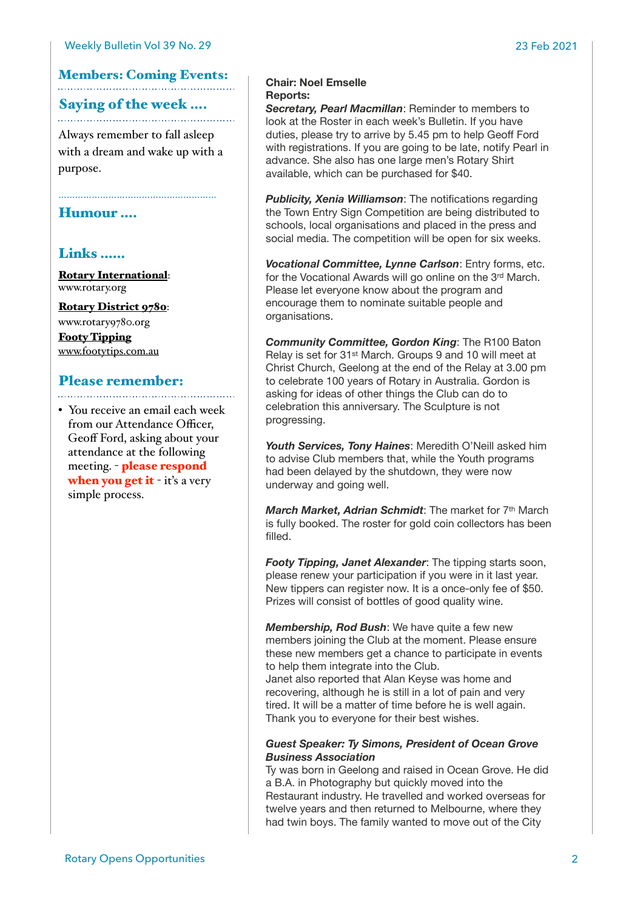## Members: Coming Events:

### Saying of the week ….

Always remember to fall asleep with a dream and wake up with a purpose.

### Humour ….

## Links ……

[Rotary International](https://www.rotary.org): [www.rotary.org](http://www.rotary.org)

[Rotary District 9780](http://rotary9780.org): [www.rotary9780.org](http://www.rotary9780.org)

[Footy Tipping](http://www.footytips.com.au) [www.footytips.com.au](http://www.footytips.com.au)

# Please remember:

• You receive an email each week from our Attendance Officer, Geoff Ford, asking about your attendance at the following meeting. - please respond when you get it - it's a very simple process.

### **Chair: Noel Emselle Reports:**

*Secretary, Pearl Macmillan*: Reminder to members to look at the Roster in each week's Bulletin. If you have duties, please try to arrive by 5.45 pm to help Geoff Ford with registrations. If you are going to be late, notify Pearl in advance. She also has one large men's Rotary Shirt available, which can be purchased for \$40.

*Publicity, Xenia Williamson*: The notifications regarding the Town Entry Sign Competition are being distributed to schools, local organisations and placed in the press and social media. The competition will be open for six weeks.

*Vocational Committee, Lynne Carlson*: Entry forms, etc. for the Vocational Awards will go online on the 3rd March. Please let everyone know about the program and encourage them to nominate suitable people and organisations.

*Community Committee, Gordon King*: The R100 Baton Relay is set for 31st March. Groups 9 and 10 will meet at Christ Church, Geelong at the end of the Relay at 3.00 pm to celebrate 100 years of Rotary in Australia. Gordon is asking for ideas of other things the Club can do to celebration this anniversary. The Sculpture is not progressing.

*Youth Services, Tony Haines*: Meredith O'Neill asked him to advise Club members that, while the Youth programs had been delayed by the shutdown, they were now underway and going well.

*March Market, Adrian Schmidt: The market for 7<sup>th</sup> March* is fully booked. The roster for gold coin collectors has been filled.

*Footy Tipping, Janet Alexander*: The tipping starts soon, please renew your participation if you were in it last year. New tippers can register now. It is a once-only fee of \$50. Prizes will consist of bottles of good quality wine.

*Membership, Rod Bush*: We have quite a few new members joining the Club at the moment. Please ensure these new members get a chance to participate in events to help them integrate into the Club.

Janet also reported that Alan Keyse was home and recovering, although he is still in a lot of pain and very tired. It will be a matter of time before he is well again. Thank you to everyone for their best wishes.

### *Guest Speaker: Ty Simons, President of Ocean Grove Business Association*

Ty was born in Geelong and raised in Ocean Grove. He did a B.A. in Photography but quickly moved into the Restaurant industry. He travelled and worked overseas for twelve years and then returned to Melbourne, where they had twin boys. The family wanted to move out of the City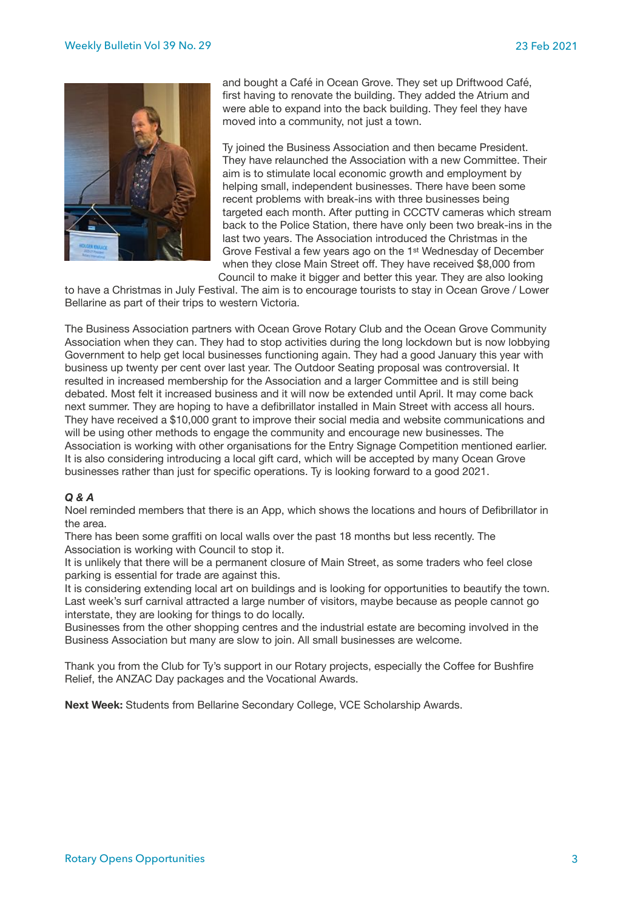

and bought a Café in Ocean Grove. They set up Driftwood Café, first having to renovate the building. They added the Atrium and were able to expand into the back building. They feel they have moved into a community, not just a town.

Ty joined the Business Association and then became President. They have relaunched the Association with a new Committee. Their aim is to stimulate local economic growth and employment by helping small, independent businesses. There have been some recent problems with break-ins with three businesses being targeted each month. After putting in CCCTV cameras which stream back to the Police Station, there have only been two break-ins in the last two years. The Association introduced the Christmas in the Grove Festival a few years ago on the 1st Wednesday of December when they close Main Street off. They have received \$8,000 from Council to make it bigger and better this year. They are also looking

to have a Christmas in July Festival. The aim is to encourage tourists to stay in Ocean Grove / Lower Bellarine as part of their trips to western Victoria.

The Business Association partners with Ocean Grove Rotary Club and the Ocean Grove Community Association when they can. They had to stop activities during the long lockdown but is now lobbying Government to help get local businesses functioning again. They had a good January this year with business up twenty per cent over last year. The Outdoor Seating proposal was controversial. It resulted in increased membership for the Association and a larger Committee and is still being debated. Most felt it increased business and it will now be extended until April. It may come back next summer. They are hoping to have a defibrillator installed in Main Street with access all hours. They have received a \$10,000 grant to improve their social media and website communications and will be using other methods to engage the community and encourage new businesses. The Association is working with other organisations for the Entry Signage Competition mentioned earlier. It is also considering introducing a local gift card, which will be accepted by many Ocean Grove businesses rather than just for specific operations. Ty is looking forward to a good 2021.

### *Q & A*

Noel reminded members that there is an App, which shows the locations and hours of Defibrillator in the area.

There has been some graffiti on local walls over the past 18 months but less recently. The Association is working with Council to stop it.

It is unlikely that there will be a permanent closure of Main Street, as some traders who feel close parking is essential for trade are against this.

It is considering extending local art on buildings and is looking for opportunities to beautify the town. Last week's surf carnival attracted a large number of visitors, maybe because as people cannot go interstate, they are looking for things to do locally.

Businesses from the other shopping centres and the industrial estate are becoming involved in the Business Association but many are slow to join. All small businesses are welcome.

Thank you from the Club for Ty's support in our Rotary projects, especially the Coffee for Bushfire Relief, the ANZAC Day packages and the Vocational Awards.

**Next Week:** Students from Bellarine Secondary College, VCE Scholarship Awards.